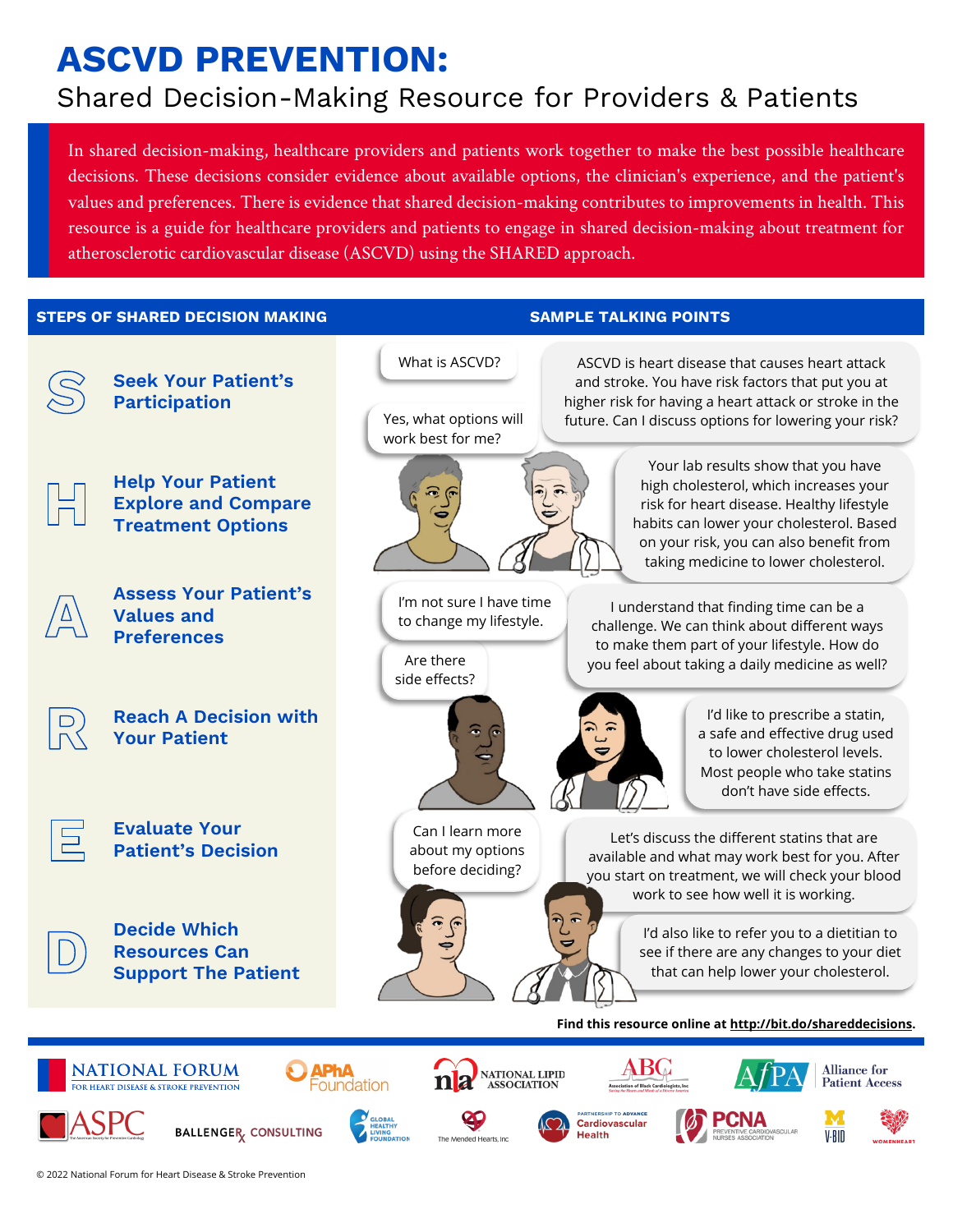# **ASCVD PREVENTION:**

# Shared Decision-Making Resource for Providers & Patients

In shared decision-making, healthcare providers and patients work together to make the best possible healthcare decisions. These decisions consider evidence about available options, the clinician's experience, and the patient's values and preferences. There is evidence that shared decision-making contributes to improvements in health. This resource is a guide for healthcare providers and patients to engage in shared decision-making about treatment for atherosclerotic cardiovascular disease (ASCVD) using the SHARED approach.

**STEPS OF SHARED DECISION MAKING SAMPLE TALKING POINTS**

Cardiovascular

V-BID

**Health** 



BALLENGER CONSULTING

 $\ddot{\phantom{a}}$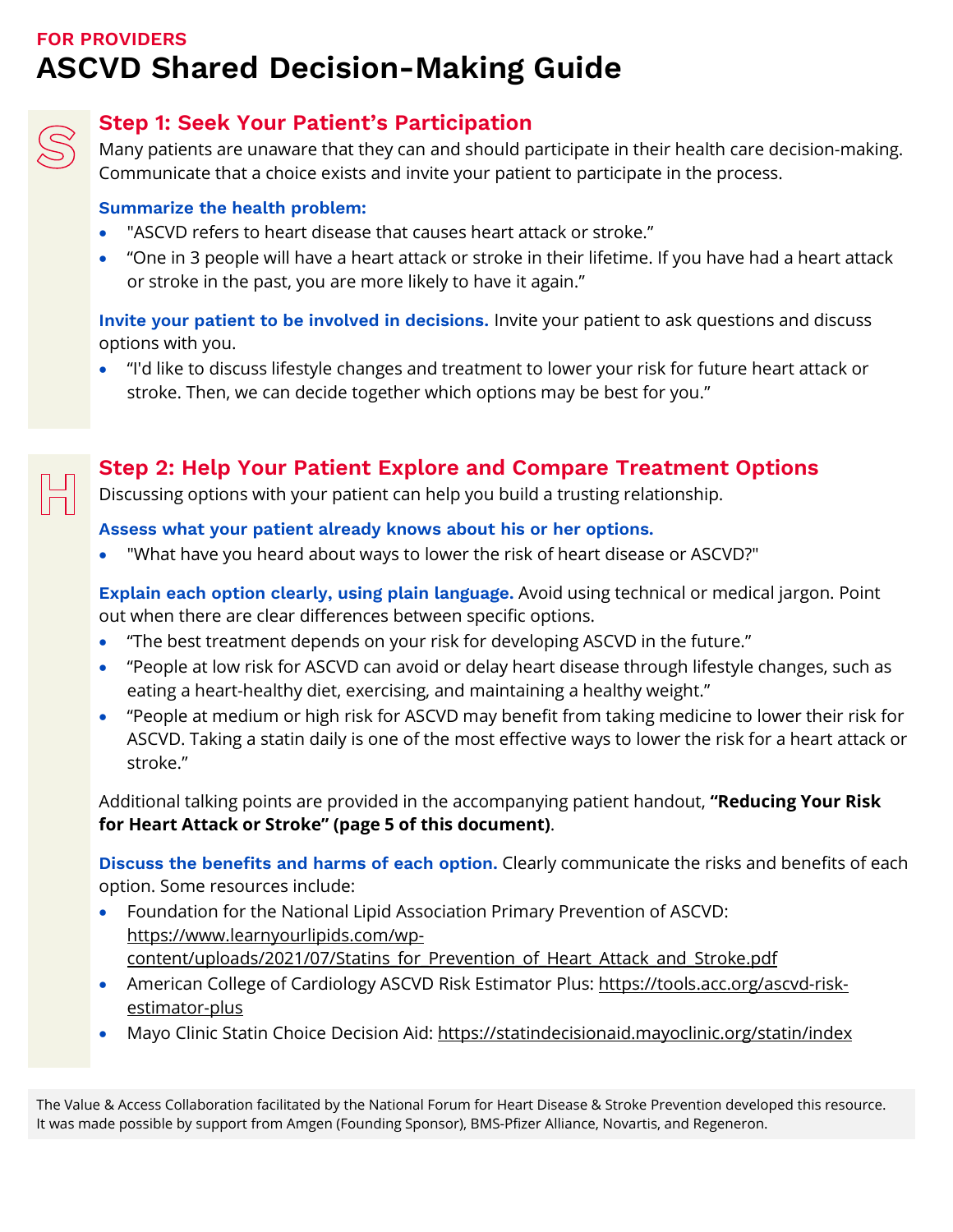## **FOR PROVIDERS ASCVD Shared Decision-Making Guide**



#### **Step 1: Seek Your Patient's Participation**

Many patients are unaware that they can and should participate in their health care decision-making. Communicate that a choice exists and invite your patient to participate in the process.

#### **Summarize the health problem:**

- "ASCVD refers to heart disease that causes heart attack or stroke."
- "One in 3 people will have a heart attack or stroke in their lifetime. If you have had a heart attack or stroke in the past, you are more likely to have it again."

**Invite your patient to be involved in decisions.** Invite your patient to ask questions and discuss options with you.

• "I'd like to discuss lifestyle changes and treatment to lower your risk for future heart attack or stroke. Then, we can decide together which options may be best for you."



#### **Step 2: Help Your Patient Explore and Compare Treatment Options**

Discussing options with your patient can help you build a trusting relationship.

#### **Assess what your patient already knows about his or her options.**

• "What have you heard about ways to lower the risk of heart disease or ASCVD?"

**Explain each option clearly, using plain language.** Avoid using technical or medical jargon. Point out when there are clear differences between specific options.

- "The best treatment depends on your risk for developing ASCVD in the future."
- "People at low risk for ASCVD can avoid or delay heart disease through lifestyle changes, such as eating a heart-healthy diet, exercising, and maintaining a healthy weight."
- "People at medium or high risk for ASCVD may benefit from taking medicine to lower their risk for ASCVD. Taking a statin daily is one of the most effective ways to lower the risk for a heart attack or stroke."

Additional talking points are provided in the accompanying patient handout, **["Reducing Your Risk](#page-4-0)  [for Heart Attack or Stroke"](#page-4-0) (page 5 of this document)**.

**Discuss the benefits and harms of each option.** Clearly communicate the risks and benefits of each option. Some resources include:

- Foundation for the National Lipid Association Primary Prevention of ASCVD: [https://www.learnyourlipids.com/wp](https://www.learnyourlipids.com/wp-content/uploads/2021/07/Statins_for_Prevention_of_Heart_Attack_and_Stroke.pdf)[content/uploads/2021/07/Statins\\_for\\_Prevention\\_of\\_Heart\\_Attack\\_and\\_Stroke.pdf](https://www.learnyourlipids.com/wp-content/uploads/2021/07/Statins_for_Prevention_of_Heart_Attack_and_Stroke.pdf)
- American College of Cardiology ASCVD Risk Estimator Plus: [https://tools.acc.org/ascvd-risk](https://tools.acc.org/ascvd-risk-estimator-plus)[estimator-plus](https://tools.acc.org/ascvd-risk-estimator-plus)
- Mayo Clinic Statin Choice Decision Aid:<https://statindecisionaid.mayoclinic.org/statin/index>

The Value & Access Collaboration facilitated by the National Forum for Heart Disease & Stroke Prevention developed this resource. It was made possible by support from Amgen (Founding Sponsor), BMS-Pfizer Alliance, Novartis, and Regeneron.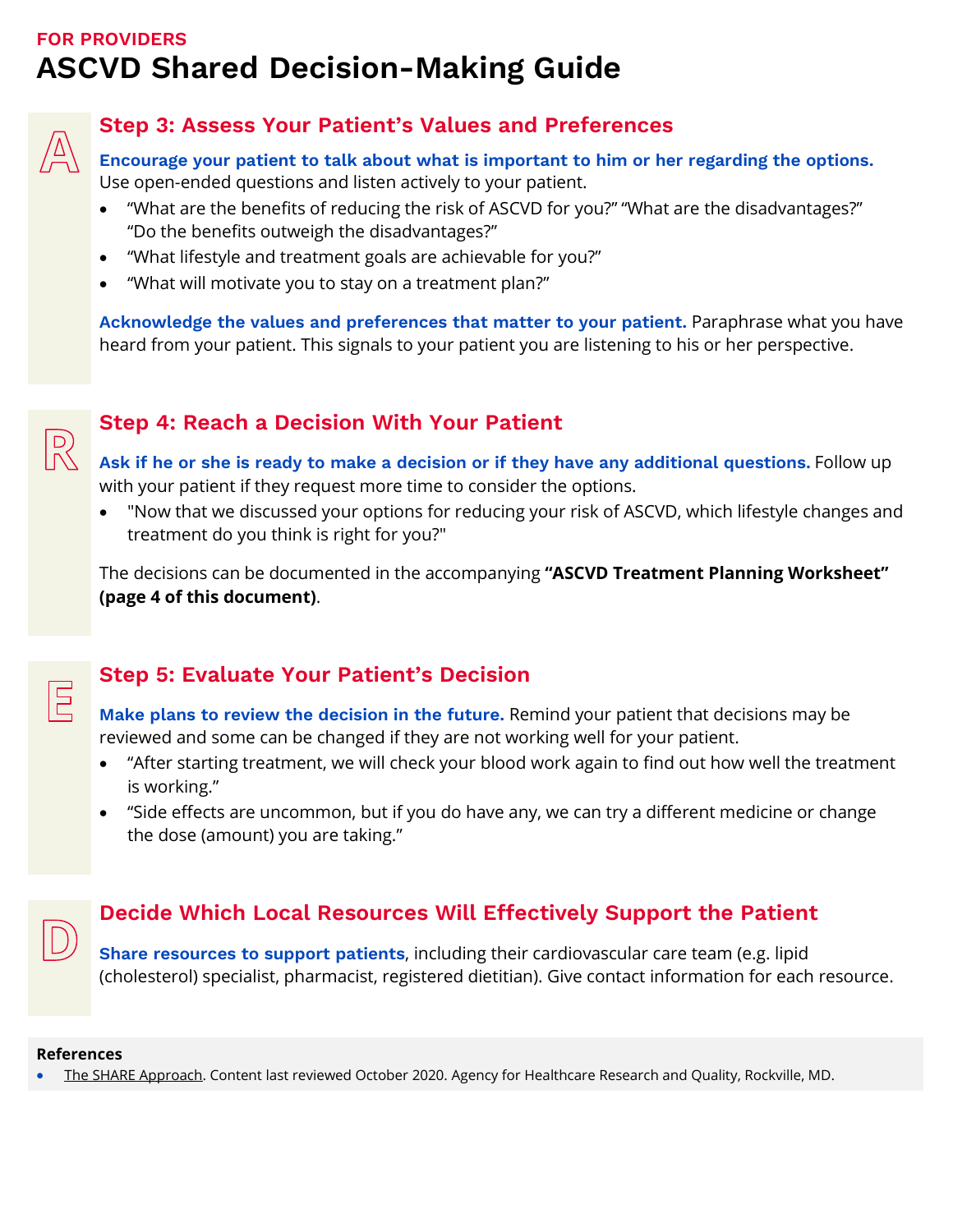## **FOR PROVIDERS ASCVD Shared Decision-Making Guide**



 $\mathbb{R}$ 

 $\boxed{5}$ 

#### **Step 3: Assess Your Patient's Values and Preferences**

**Encourage your patient to talk about what is important to him or her regarding the options.** Use open-ended questions and listen actively to your patient.

- "What are the benefits of reducing the risk of ASCVD for you?" "What are the disadvantages?" "Do the benefits outweigh the disadvantages?"
- "What lifestyle and treatment goals are achievable for you?"
- "What will motivate you to stay on a treatment plan?"

**Acknowledge the values and preferences that matter to your patient.** Paraphrase what you have heard from your patient. This signals to your patient you are listening to his or her perspective.

#### **Step 4: Reach a Decision With Your Patient**

**Ask if he or she is ready to make a decision or if they have any additional questions.** Follow up with your patient if they request more time to consider the options.

• "Now that we discussed your options for reducing your risk of ASCVD, which lifestyle changes and treatment do you think is right for you?"

The decisions can be documented in the accompanying **["ASCVD Treatment Planning Worksheet"](#page-3-0) (page 4 [of this document\)](#page-3-0)**.

#### **Step 5: Evaluate Your Patient's Decision**

**Make plans to review the decision in the future.** Remind your patient that decisions may be reviewed and some can be changed if they are not working well for your patient.

- "After starting treatment, we will check your blood work again to find out how well the treatment is working."
- "Side effects are uncommon, but if you do have any, we can try a different medicine or change the dose (amount) you are taking."

#### **Decide Which Local Resources Will Effectively Support the Patient**

**Share resources to support patients**, including their cardiovascular care team (e.g. lipid (cholesterol) specialist, pharmacist, registered dietitian). Give contact information for each resource.

#### **References**

• [The SHARE Approach.](https://www.ahrq.gov/health-literacy/professional-training/shared-decision/tool/resource-2.html) Content last reviewed October 2020. Agency for Healthcare Research and Quality, Rockville, MD.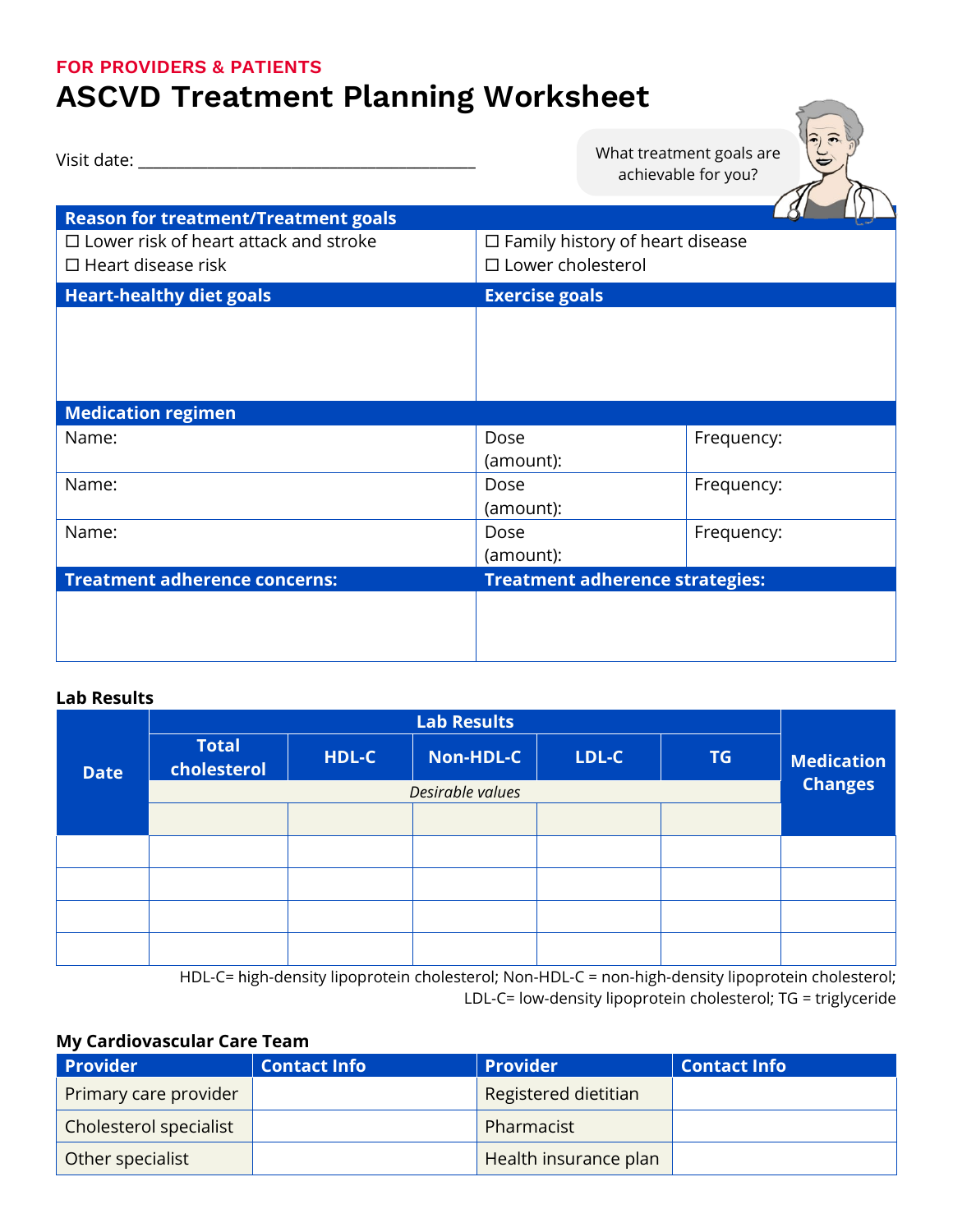#### <span id="page-3-0"></span>**FOR PROVIDERS & PATIENTS**

# **ASCVD Treatment Planning Worksheet**

| Visit date:                                                               |                                                                       | What treatment goals are<br>achievable for you? |
|---------------------------------------------------------------------------|-----------------------------------------------------------------------|-------------------------------------------------|
| <b>Reason for treatment/Treatment goals</b>                               |                                                                       |                                                 |
| $\Box$ Lower risk of heart attack and stroke<br>$\Box$ Heart disease risk | $\Box$ Family history of heart disease<br>$\square$ Lower cholesterol |                                                 |
| <b>Heart-healthy diet goals</b>                                           | <b>Exercise goals</b>                                                 |                                                 |
| <b>Medication regimen</b>                                                 |                                                                       |                                                 |
| Name:                                                                     | Dose<br>(amount):                                                     | Frequency:                                      |
| Name:                                                                     | Dose<br>(amount):                                                     | Frequency:                                      |
| Name:                                                                     | Dose<br>(amount):                                                     | Frequency:                                      |
| <b>Treatment adherence concerns:</b>                                      | <b>Treatment adherence strategies:</b>                                |                                                 |
|                                                                           |                                                                       |                                                 |

#### **Lab Results**

|             | <b>Lab Results</b>          |       |           |       |                |                   |
|-------------|-----------------------------|-------|-----------|-------|----------------|-------------------|
| <b>Date</b> | <b>Total</b><br>cholesterol | HDL-C | Non-HDL-C | LDL-C | <b>TG</b>      | <b>Medication</b> |
|             | Desirable values            |       |           |       | <b>Changes</b> |                   |
|             |                             |       |           |       |                |                   |
|             |                             |       |           |       |                |                   |
|             |                             |       |           |       |                |                   |
|             |                             |       |           |       |                |                   |
|             |                             |       |           |       |                |                   |

HDL-C= high-density lipoprotein cholesterol; Non-HDL-C = non-high-density lipoprotein cholesterol; LDL-C= low-density lipoprotein cholesterol; TG = triglyceride

#### **My Cardiovascular Care Team**

| <b>Provider</b>        | <b>Contact Info</b> | <b>Provider</b>       | <b>Contact Info</b> |
|------------------------|---------------------|-----------------------|---------------------|
| Primary care provider  |                     | Registered dietitian  |                     |
| Cholesterol specialist |                     | Pharmacist            |                     |
| Other specialist       |                     | Health insurance plan |                     |